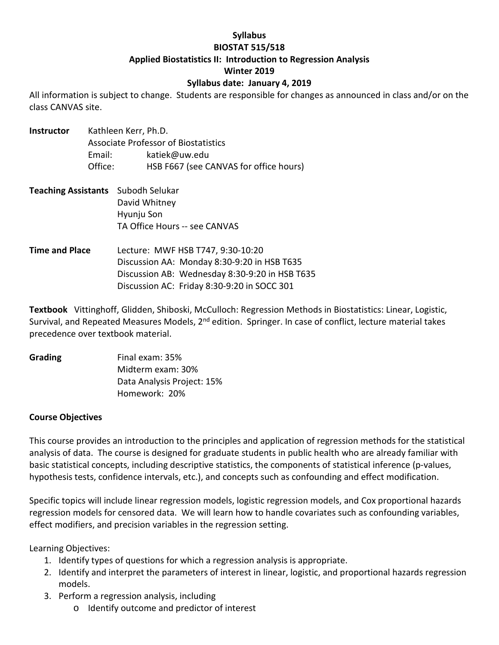# **Syllabus BIOSTAT 515/518 Applied Biostatistics II: Introduction to Regression Analysis Winter 2019**

#### **Syllabus date: January 4, 2019**

All information is subject to change. Students are responsible for changes as announced in class and/or on the class CANVAS site.

- **Instructor** Kathleen Kerr, Ph.D. Associate Professor of Biostatistics Email: katiek@uw.edu Office: HSB F667 (see CANVAS for office hours)
- **Teaching Assistants** Subodh Selukar David Whitney Hyunju Son TA Office Hours -- see CANVAS
- **Time and Place** Lecture: MWF HSB T747, 9:30-10:20 Discussion AA: Monday 8:30-9:20 in HSB T635 Discussion AB: Wednesday 8:30-9:20 in HSB T635 Discussion AC: Friday 8:30-9:20 in SOCC 301

**Textbook** Vittinghoff, Glidden, Shiboski, McCulloch: Regression Methods in Biostatistics: Linear, Logistic, Survival, and Repeated Measures Models, 2<sup>nd</sup> edition. Springer. In case of conflict, lecture material takes precedence over textbook material.

| Final exam: 35%            |
|----------------------------|
| Midterm exam: 30%          |
| Data Analysis Project: 15% |
| Homework: 20%              |
|                            |

#### **Course Objectives**

This course provides an introduction to the principles and application of regression methods for the statistical analysis of data. The course is designed for graduate students in public health who are already familiar with basic statistical concepts, including descriptive statistics, the components of statistical inference (p-values, hypothesis tests, confidence intervals, etc.), and concepts such as confounding and effect modification.

Specific topics will include linear regression models, logistic regression models, and Cox proportional hazards regression models for censored data. We will learn how to handle covariates such as confounding variables, effect modifiers, and precision variables in the regression setting.

Learning Objectives:

- 1. Identify types of questions for which a regression analysis is appropriate.
- 2. Identify and interpret the parameters of interest in linear, logistic, and proportional hazards regression models.
- 3. Perform a regression analysis, including
	- o Identify outcome and predictor of interest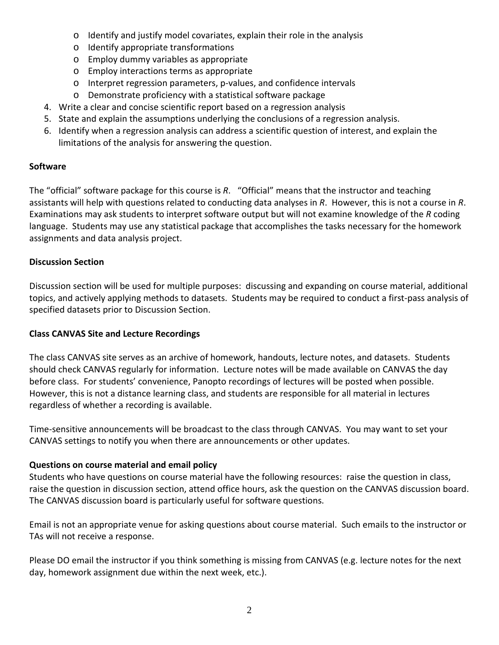- o Identify and justify model covariates, explain their role in the analysis
- o Identify appropriate transformations
- o Employ dummy variables as appropriate
- o Employ interactions terms as appropriate
- o Interpret regression parameters, p-values, and confidence intervals
- o Demonstrate proficiency with a statistical software package
- 4. Write a clear and concise scientific report based on a regression analysis
- 5. State and explain the assumptions underlying the conclusions of a regression analysis.
- 6. Identify when a regression analysis can address a scientific question of interest, and explain the limitations of the analysis for answering the question.

## **Software**

The "official" software package for this course is *R*. "Official" means that the instructor and teaching assistants will help with questions related to conducting data analyses in *R*. However, this is not a course in *R*. Examinations may ask students to interpret software output but will not examine knowledge of the *R* coding language. Students may use any statistical package that accomplishes the tasks necessary for the homework assignments and data analysis project.

# **Discussion Section**

Discussion section will be used for multiple purposes: discussing and expanding on course material, additional topics, and actively applying methods to datasets. Students may be required to conduct a first-pass analysis of specified datasets prior to Discussion Section.

## **Class CANVAS Site and Lecture Recordings**

The class CANVAS site serves as an archive of homework, handouts, lecture notes, and datasets. Students should check CANVAS regularly for information. Lecture notes will be made available on CANVAS the day before class. For students' convenience, Panopto recordings of lectures will be posted when possible. However, this is not a distance learning class, and students are responsible for all material in lectures regardless of whether a recording is available.

Time-sensitive announcements will be broadcast to the class through CANVAS. You may want to set your CANVAS settings to notify you when there are announcements or other updates.

## **Questions on course material and email policy**

Students who have questions on course material have the following resources: raise the question in class, raise the question in discussion section, attend office hours, ask the question on the CANVAS discussion board. The CANVAS discussion board is particularly useful for software questions.

Email is not an appropriate venue for asking questions about course material. Such emails to the instructor or TAs will not receive a response.

Please DO email the instructor if you think something is missing from CANVAS (e.g. lecture notes for the next day, homework assignment due within the next week, etc.).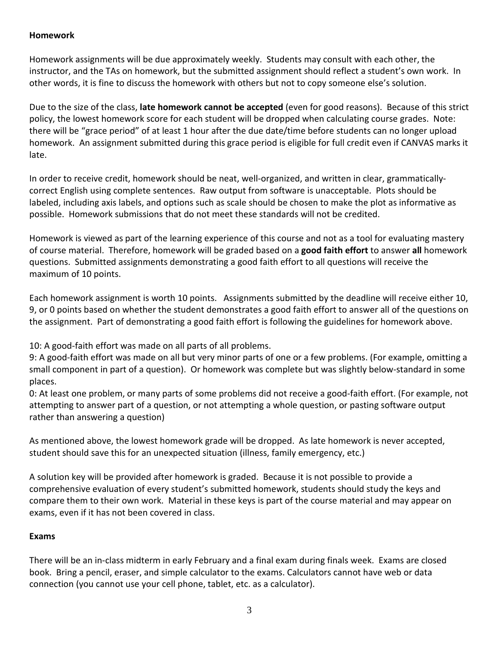## **Homework**

Homework assignments will be due approximately weekly. Students may consult with each other, the instructor, and the TAs on homework, but the submitted assignment should reflect a student's own work. In other words, it is fine to discuss the homework with others but not to copy someone else's solution.

Due to the size of the class, **late homework cannot be accepted** (even for good reasons). Because of this strict policy, the lowest homework score for each student will be dropped when calculating course grades. Note: there will be "grace period" of at least 1 hour after the due date/time before students can no longer upload homework. An assignment submitted during this grace period is eligible for full credit even if CANVAS marks it late.

In order to receive credit, homework should be neat, well-organized, and written in clear, grammaticallycorrect English using complete sentences. Raw output from software is unacceptable. Plots should be labeled, including axis labels, and options such as scale should be chosen to make the plot as informative as possible. Homework submissions that do not meet these standards will not be credited.

Homework is viewed as part of the learning experience of this course and not as a tool for evaluating mastery of course material. Therefore, homework will be graded based on a **good faith effort** to answer **all** homework questions. Submitted assignments demonstrating a good faith effort to all questions will receive the maximum of 10 points.

Each homework assignment is worth 10 points. Assignments submitted by the deadline will receive either 10, 9, or 0 points based on whether the student demonstrates a good faith effort to answer all of the questions on the assignment. Part of demonstrating a good faith effort is following the guidelines for homework above.

10: A good-faith effort was made on all parts of all problems.

9: A good-faith effort was made on all but very minor parts of one or a few problems. (For example, omitting a small component in part of a question). Or homework was complete but was slightly below-standard in some places.

0: At least one problem, or many parts of some problems did not receive a good-faith effort. (For example, not attempting to answer part of a question, or not attempting a whole question, or pasting software output rather than answering a question)

As mentioned above, the lowest homework grade will be dropped. As late homework is never accepted, student should save this for an unexpected situation (illness, family emergency, etc.)

A solution key will be provided after homework is graded. Because it is not possible to provide a comprehensive evaluation of every student's submitted homework, students should study the keys and compare them to their own work. Material in these keys is part of the course material and may appear on exams, even if it has not been covered in class.

## **Exams**

There will be an in-class midterm in early February and a final exam during finals week. Exams are closed book. Bring a pencil, eraser, and simple calculator to the exams. Calculators cannot have web or data connection (you cannot use your cell phone, tablet, etc. as a calculator).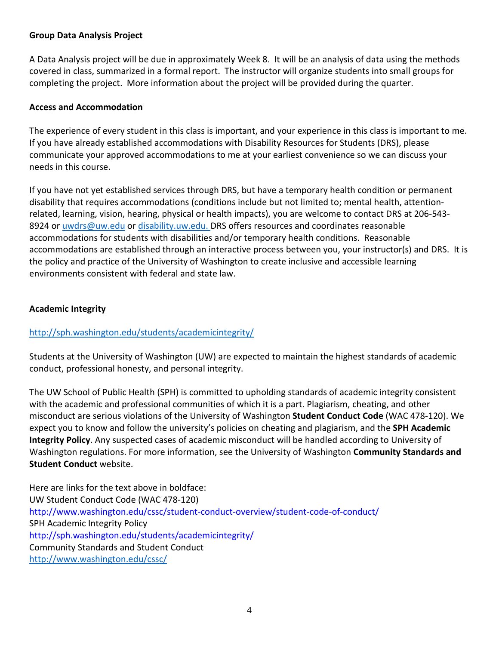#### **Group Data Analysis Project**

A Data Analysis project will be due in approximately Week 8. It will be an analysis of data using the methods covered in class, summarized in a formal report. The instructor will organize students into small groups for completing the project. More information about the project will be provided during the quarter.

#### **Access and Accommodation**

The experience of every student in this class is important, and your experience in this class is important to me. If you have already established accommodations with Disability Resources for Students (DRS), please communicate your approved accommodations to me at your earliest convenience so we can discuss your needs in this course.

If you have not yet established services through DRS, but have a temporary health condition or permanent disability that requires accommodations (conditions include but not limited to; mental health, attentionrelated, learning, vision, hearing, physical or health impacts), you are welcome to contact DRS at 206-543 8924 or [uwdrs@uw.edu](mailto:uwdrs@uw.edu) or [disability.uw.edu.](http://depts.washington.edu/uwdrs/) DRS offers resources and coordinates reasonable accommodations for students with disabilities and/or temporary health conditions. Reasonable accommodations are established through an interactive process between you, your instructor(s) and DRS. It is the policy and practice of the University of Washington to create inclusive and accessible learning environments consistent with federal and state law.

#### **Academic Integrity**

## <http://sph.washington.edu/students/academicintegrity/>

Students at the University of Washington (UW) are expected to maintain the highest standards of academic conduct, professional honesty, and personal integrity.

The UW School of Public Health (SPH) is committed to upholding standards of academic integrity consistent with the academic and professional communities of which it is a part. Plagiarism, cheating, and other misconduct are serious violations of the University of Washington **Student Conduct Code** (WAC 478-120). We expect you to know and follow the university's policies on cheating and plagiarism, and the **SPH Academic Integrity Policy**. Any suspected cases of academic misconduct will be handled according to University of Washington regulations. For more information, see the University of Washington **Community Standards and Student Conduct** website.

Here are links for the text above in boldface: UW Student Conduct Code (WAC 478-120) http://www.washington.edu/cssc/student-conduct-overview/student-code-of-conduct/ SPH Academic Integrity Policy http://sph.washington.edu/students/academicintegrity/ Community Standards and Student Conduct <http://www.washington.edu/cssc/>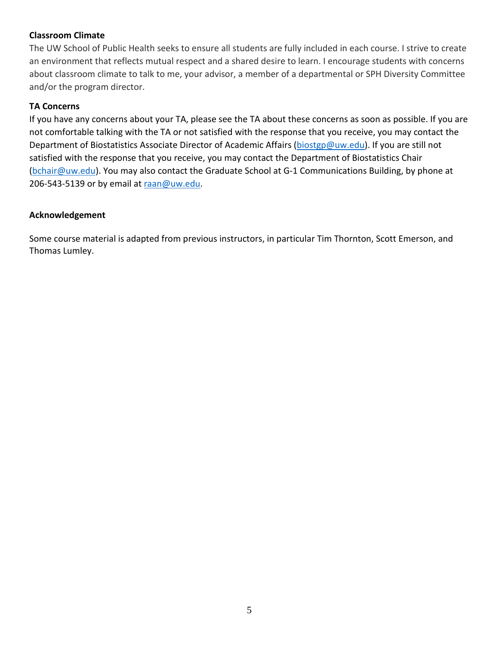## **Classroom Climate**

The UW School of Public Health seeks to ensure all students are fully included in each course. I strive to create an environment that reflects mutual respect and a shared desire to learn. I encourage students with concerns about classroom climate to talk to me, your advisor, a member of a departmental or SPH Diversity Committee and/or the program director.

#### **TA Concerns**

If you have any concerns about your TA, please see the TA about these concerns as soon as possible. If you are not comfortable talking with the TA or not satisfied with the response that you receive, you may contact the Department of Biostatistics Associate Director of Academic Affairs [\(biostgp@uw.edu\)](mailto:biostgp@uw.edu). If you are still not satisfied with the response that you receive, you may contact the Department of Biostatistics Chair [\(bchair@uw.edu\)](mailto:bchair@uw.edu). You may also contact the Graduate School at G-1 Communications Building, by phone at 206-543-5139 or by email at [raan@uw.edu.](mailto:raan@uw.edu)

#### **Acknowledgement**

Some course material is adapted from previous instructors, in particular Tim Thornton, Scott Emerson, and Thomas Lumley.